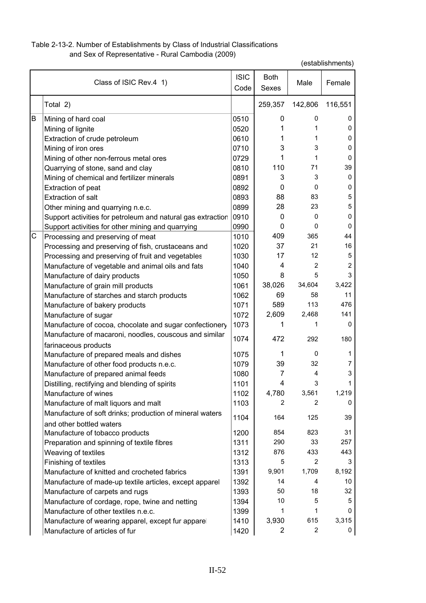## Table 2-13-2. Number of Establishments by Class of Industrial Classifications and Sex of Representative - Rural Cambodia (2009)

|   | Class of ISIC Rev.4 1)                                      | <b>ISIC</b><br>Code | <b>Both</b><br>Sexes | Male           | Female  |
|---|-------------------------------------------------------------|---------------------|----------------------|----------------|---------|
|   | Total 2)                                                    |                     | 259,357              | 142,806        | 116,551 |
| B | Mining of hard coal                                         | 0510                | 0                    | 0              | 0       |
|   | Mining of lignite                                           | 0520                | 1                    | 1              | 0       |
|   | Extraction of crude petroleum                               | 0610                | 1                    | 1              | 0       |
|   | Mining of iron ores                                         | 0710                | 3                    | 3              | 0       |
|   | Mining of other non-ferrous metal ores                      | 0729                | 1                    | 1              | 0       |
|   | Quarrying of stone, sand and clay                           | 0810                | 110                  | 71             | 39      |
|   | Mining of chemical and fertilizer minerals                  | 0891                | 3                    | 3              | 0       |
|   | Extraction of peat                                          | 0892                | 0                    | 0              | 0       |
|   | <b>Extraction of salt</b>                                   | 0893                | 88                   | 83             | 5       |
|   | Other mining and quarrying n.e.c.                           | 0899                | 28                   | 23             | 5       |
|   | Support activities for petroleum and natural gas extraction | 0910                | $\mathbf{0}$         | 0              | 0       |
|   | Support activities for other mining and quarrying           | 0990                | $\mathbf{0}$         | $\Omega$       | 0       |
| С | Processing and preserving of meat                           | 1010                | 409                  | 365            | 44      |
|   | Processing and preserving of fish, crustaceans and          | 1020                | 37                   | 21             | 16      |
|   | Processing and preserving of fruit and vegetables           | 1030                | 17                   | 12             | 5       |
|   | Manufacture of vegetable and animal oils and fats           | 1040                | 4                    | $\overline{2}$ | 2       |
|   | Manufacture of dairy products                               | 1050                | 8                    | 5              | 3       |
|   | Manufacture of grain mill products                          | 1061                | 38,026               | 34,604         | 3,422   |
|   | Manufacture of starches and starch products                 | 1062                | 69                   | 58             | 11      |
|   | Manufacture of bakery products                              | 1071                | 589                  | 113            | 476     |
|   | Manufacture of sugar                                        | 1072                | 2,609                | 2,468          | 141     |
|   | Manufacture of cocoa, chocolate and sugar confectionery     | 1073                | 1                    | 1              | 0       |
|   | Manufacture of macaroni, noodles, couscous and similar      | 1074                | 472                  | 292            | 180     |
|   | farinaceous products                                        |                     |                      |                |         |
|   | Manufacture of prepared meals and dishes                    | 1075                | 1                    | 0              | 1       |
|   | Manufacture of other food products n.e.c.                   | 1079                | 39                   | 32             | 7       |
|   | Manufacture of prepared animal feeds                        | 1080                | 7                    | 4              | 3       |
|   | Distilling, rectifying and blending of spirits              | 1101                | 4                    | 3              | 1       |
|   | Manufacture of wines                                        | 1102                | 4,780                | 3,561          | 1,219   |
|   | Manufacture of malt liquors and malt                        | 1103                | 2                    | 2              | 0       |
|   | Manufacture of soft drinks; production of mineral waters    | 1104                | 164                  | 125            | 39      |
|   | and other bottled waters                                    |                     |                      |                |         |
|   | Manufacture of tobacco products                             | 1200                | 854                  | 823            | 31      |
|   | Preparation and spinning of textile fibres                  | 1311                | 290                  | 33             | 257     |
|   | Weaving of textiles                                         | 1312                | 876                  | 433            | 443     |
|   | Finishing of textiles                                       | 1313                | 5                    | 2              | 3       |
|   | Manufacture of knitted and crocheted fabrics                | 1391                | 9,901                | 1,709          | 8,192   |
|   | Manufacture of made-up textile articles, except apparel     | 1392                | 14                   | 4              | 10      |
|   | Manufacture of carpets and rugs                             | 1393                | 50                   | 18             | 32      |
|   | Manufacture of cordage, rope, twine and netting             | 1394                | 10                   | 5              | 5       |
|   | Manufacture of other textiles n.e.c.                        | 1399                | 1                    | 1              | 0       |
|   | Manufacture of wearing apparel, except fur apparel          | 1410                | 3,930                | 615            | 3,315   |
|   | Manufacture of articles of fur                              | 1420                | $\overline{2}$       | $\overline{2}$ | 0       |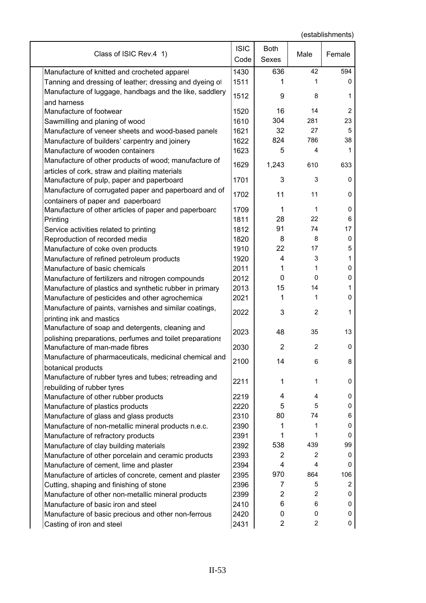| Class of ISIC Rev.4 1)                                                              | <b>ISIC</b><br>Code | Both<br>Sexes  | Male           | Female         |
|-------------------------------------------------------------------------------------|---------------------|----------------|----------------|----------------|
| Manufacture of knitted and crocheted apparel                                        | 1430                | 636            | 42             | 594            |
| Tanning and dressing of leather; dressing and dyeing of                             | 1511                |                | 1              | 0              |
| Manufacture of luggage, handbags and the like, saddlery<br>and harness              | 1512                | 9              | 8              | 1              |
| Manufacture of footwear                                                             | 1520                | 16             | 14             | $\overline{2}$ |
| Sawmilling and planing of wood                                                      | 1610                | 304            | 281            | 23             |
| Manufacture of veneer sheets and wood-based panels                                  | 1621                | 32             | 27             | 5              |
| Manufacture of builders' carpentry and joinery                                      | 1622                | 824            | 786            | 38             |
| Manufacture of wooden containers                                                    | 1623                | 5              | 4              | 1              |
| Manufacture of other products of wood; manufacture of                               |                     |                |                |                |
| articles of cork, straw and plaiting materials                                      | 1629                | 1,243          | 610            | 633            |
| Manufacture of pulp, paper and paperboard                                           | 1701                | 3              | 3              | 0              |
| Manufacture of corrugated paper and paperboard and of                               | 1702                | 11             | 11             | 0              |
| containers of paper and paperboard                                                  | 1709                | 1              | 1              | 0              |
| Manufacture of other articles of paper and paperboard<br>Printing                   | 1811                | 28             | 22             | 6              |
| Service activities related to printing                                              | 1812                | 91             | 74             | 17             |
| Reproduction of recorded media                                                      | 1820                | 8              | 8              | $\mathbf 0$    |
| Manufacture of coke oven products                                                   | 1910                | 22             | 17             | 5              |
| Manufacture of refined petroleum products                                           | 1920                | 4              | 3              | 1              |
| Manufacture of basic chemicals                                                      | 2011                | 1              | 1              | 0              |
| Manufacture of fertilizers and nitrogen compounds                                   | 2012                | 0              | $\Omega$       | 0              |
| Manufacture of plastics and synthetic rubber in primary                             | 2013                | 15             | 14             | 1              |
| Manufacture of pesticides and other agrochemical                                    | 2021                | 1              | 1              | $\mathbf 0$    |
| Manufacture of paints, varnishes and similar coatings,                              |                     |                |                |                |
| printing ink and mastics                                                            | 2022                | 3              | 2              | 1              |
| Manufacture of soap and detergents, cleaning and                                    |                     |                |                |                |
| polishing preparations, perfumes and toilet preparations                            | 2023                | 48             | 35             | 13             |
| Manufacture of man-made fibres                                                      | 2030                | $\overline{2}$ | $\overline{c}$ | 0              |
| Manufacture of pharmaceuticals, medicinal chemical and                              |                     |                |                |                |
| botanical products                                                                  | 2100                | 14             | 6              | ŏ              |
| Manufacture of rubber tyres and tubes; retreading and<br>rebuilding of rubber tyres | 2211                | 1              | 1              | 0              |
| Manufacture of other rubber products                                                | 2219                | 4              | 4              | 0              |
| Manufacture of plastics products                                                    | 2220                | 5              | 5              | 0              |
| Manufacture of glass and glass products                                             | 2310                | 80             | 74             | 6              |
| Manufacture of non-metallic mineral products n.e.c.                                 | 2390                | 1              | 1              | 0              |
| Manufacture of refractory products                                                  | 2391                | 1              | 1              | 0              |
| Manufacture of clay building materials                                              | 2392                | 538            | 439            | 99             |
| Manufacture of other porcelain and ceramic products                                 | 2393                | $\overline{c}$ | 2              | 0              |
| Manufacture of cement, lime and plaster                                             | 2394                | 4              | 4              | 0              |
| Manufacture of articles of concrete, cement and plaster                             | 2395                | 970            | 864            | 106            |
| Cutting, shaping and finishing of stone                                             | 2396                | 7              | 5              | $\overline{2}$ |
| Manufacture of other non-metallic mineral products                                  | 2399                | $\overline{2}$ | 2              | 0              |
| Manufacture of basic iron and steel                                                 | 2410                | 6              | 6              | 0              |
| Manufacture of basic precious and other non-ferrous                                 | 2420                | 0              | 0              | 0              |
| Casting of iron and steel                                                           | 2431                | $\overline{2}$ | $\overline{c}$ | 0              |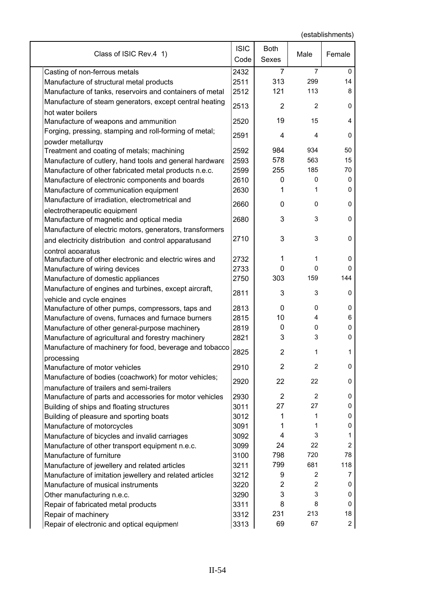| Class of ISIC Rev.4 1)                                                                               | <b>ISIC</b><br>Code | <b>Both</b><br>Sexes | Male           | Female         |
|------------------------------------------------------------------------------------------------------|---------------------|----------------------|----------------|----------------|
| Casting of non-ferrous metals                                                                        | 2432                | 7                    | 7              | 0              |
| Manufacture of structural metal products                                                             | 2511                | 313                  | 299            | 14             |
| Manufacture of tanks, reservoirs and containers of metal                                             | 2512                | 121                  | 113            | 8              |
| Manufacture of steam generators, except central heating                                              | 2513                | 2                    | 2              | 0              |
| hot water boilers<br>Manufacture of weapons and ammunition                                           | 2520                | 19                   | 15             | 4              |
| Forging, pressing, stamping and roll-forming of metal;                                               | 2591                | 4                    | 4              | 0              |
| powder metallurgy                                                                                    |                     |                      |                |                |
| Treatment and coating of metals; machining                                                           | 2592                | 984                  | 934            | 50             |
| Manufacture of cutlery, hand tools and general hardware                                              | 2593                | 578                  | 563            | 15             |
| Manufacture of other fabricated metal products n.e.c.                                                | 2599                | 255                  | 185            | 70             |
| Manufacture of electronic components and boards                                                      | 2610                | 0                    | 0              | 0              |
| Manufacture of communication equipment                                                               | 2630                | 1                    | 1              | 0              |
| Manufacture of irradiation, electrometrical and                                                      | 2660                | $\mathbf{0}$         | 0              | 0              |
| electrotherapeutic equipment<br>Manufacture of magnetic and optical media                            | 2680                | 3                    | 3              | 0              |
| Manufacture of electric motors, generators, transformers                                             |                     |                      |                |                |
| and electricity distribution and control apparatusand                                                | 2710                | 3                    | 3              | 0              |
| control apparatus                                                                                    |                     |                      |                |                |
| Manufacture of other electronic and electric wires and                                               | 2732                | 1                    | 1              | 0              |
| Manufacture of wiring devices                                                                        | 2733                | 0                    | 0              | <sup>0</sup>   |
| Manufacture of domestic appliances                                                                   | 2750                | 303                  | 159            | 144            |
| Manufacture of engines and turbines, except aircraft,                                                | 2811                | 3                    | 3              | 0              |
| vehicle and cycle engines                                                                            |                     |                      |                |                |
| Manufacture of other pumps, compressors, taps and                                                    | 2813                | 0                    | 0              | 0              |
| Manufacture of ovens, furnaces and furnace burners                                                   | 2815                | 10                   | 4              | 6              |
| Manufacture of other general-purpose machinery                                                       | 2819                | 0                    | 0              | 0              |
| Manufacture of agricultural and forestry machinery                                                   | 2821                | 3                    | 3              | O              |
| Manufacture of machinery for food, beverage and tobacco<br>processing                                | 2825                | $\overline{c}$       | 1              | 1              |
| Manufacture of motor vehicles                                                                        | 2910                | $\overline{2}$       | $\overline{c}$ | 0              |
| Manufacture of bodies (coachwork) for motor vehicles;                                                | 2920                | 22                   | 22             | 0              |
| manufacture of trailers and semi-trailers<br>Manufacture of parts and accessories for motor vehicles | 2930                | $\overline{2}$       | $\overline{c}$ | 0              |
| Building of ships and floating structures                                                            | 3011                | 27                   | 27             | 0              |
| Building of pleasure and sporting boats                                                              | 3012                | 1                    | 1              | 0              |
| Manufacture of motorcycles                                                                           | 3091                | 1                    | 1              | 0              |
| Manufacture of bicycles and invalid carriages                                                        | 3092                | 4                    | 3              | 1              |
| Manufacture of other transport equipment n.e.c.                                                      | 3099                | 24                   | 22             | 2              |
| Manufacture of furniture                                                                             | 3100                | 798                  | 720            | 78             |
| Manufacture of jewellery and related articles                                                        | 3211                | 799                  | 681            | 118            |
|                                                                                                      | 3212                | 9                    | 2              | 7              |
| Manufacture of imitation jewellery and related articles<br>Manufacture of musical instruments        | 3220                | 2                    | 2              | 0              |
|                                                                                                      |                     | 3                    | 3              |                |
| Other manufacturing n.e.c.                                                                           | 3290                | 8                    | 8              | 0<br>0         |
| Repair of fabricated metal products                                                                  | 3311                | 231                  | 213            | 18             |
| Repair of machinery                                                                                  | 3312                | 69                   | 67             | $\overline{a}$ |
| Repair of electronic and optical equipment                                                           | 3313                |                      |                |                |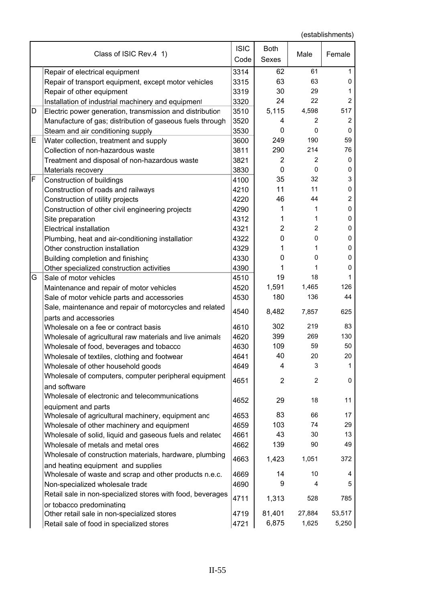|   | Class of ISIC Rev.4 1)                                                                         | <b>ISIC</b><br>Code | <b>Both</b><br>Sexes | Male            | Female          |
|---|------------------------------------------------------------------------------------------------|---------------------|----------------------|-----------------|-----------------|
|   | Repair of electrical equipment                                                                 | 3314                | 62                   | 61              | 1               |
|   | Repair of transport equipment, except motor vehicles                                           | 3315                | 63                   | 63              | 0               |
|   | Repair of other equipment                                                                      | 3319                | 30                   | 29              | 1               |
|   | Installation of industrial machinery and equipment                                             | 3320                | 24                   | 22              | 2               |
| D | Electric power generation, transmission and distribution                                       | 3510                | 5,115                | 4,598           | 517             |
|   | Manufacture of gas; distribution of gaseous fuels through                                      | 3520                | 4                    | $\overline{c}$  | $\overline{c}$  |
|   | Steam and air conditioning supply                                                              | 3530                | 0                    | 0               | 0               |
| Е | Water collection, treatment and supply                                                         | 3600                | 249                  | 190             | 59              |
|   | Collection of non-hazardous waste                                                              | 3811                | 290                  | 214             | 76              |
|   | Treatment and disposal of non-hazardous waste                                                  | 3821                | $\overline{2}$       | 2               | 0               |
|   | Materials recovery                                                                             | 3830                | 0                    | 0               | 0               |
| F | Construction of buildings                                                                      | 4100                | 35                   | 32              | 3               |
|   | Construction of roads and railways                                                             | 4210                | 11                   | 11              | 0               |
|   | Construction of utility projects                                                               | 4220                | 46                   | 44              | 2               |
|   | Construction of other civil engineering projects                                               | 4290                | 1                    | 1               | 0               |
|   | Site preparation                                                                               | 4312                | 1                    | 1               | 0               |
|   | <b>Electrical installation</b>                                                                 | 4321                | 2                    | $\overline{2}$  | 0               |
|   | Plumbing, heat and air-conditioning installatior                                               | 4322                | 0                    | 0               | 0               |
|   | Other construction installation                                                                | 4329                | 1                    | 1               | 0               |
|   | Building completion and finishing                                                              | 4330                | 0                    | 0               | 0               |
|   | Other specialized construction activities                                                      | 4390                | 1                    | 1               | 0               |
| G | Sale of motor vehicles                                                                         | 4510                | 19                   | 18              |                 |
|   | Maintenance and repair of motor vehicles                                                       | 4520                | 1,591                | 1,465           | 126             |
|   | Sale of motor vehicle parts and accessories                                                    | 4530                | 180                  | 136             | 44              |
|   | Sale, maintenance and repair of motorcycles and related<br>parts and accessories               | 4540                | 8,482                | 7,857           | 625             |
|   | Wholesale on a fee or contract basis                                                           | 4610                | 302                  | 219             | 83              |
|   | Wholesale of agricultural raw materials and live animals                                       | 4620                | 399                  | 269             | 130             |
|   | Wholesale of food, beverages and tobacco                                                       | 4630                | 109                  | 59              | 50              |
|   | Wholesale of textiles, clothing and footwear                                                   | 4641                | 40                   | 20              | $20\,$          |
|   | Wholesale of other household goods                                                             | 4649                | 4                    | 3               | 1               |
|   | Wholesale of computers, computer peripheral equipment                                          |                     |                      |                 |                 |
|   | and software                                                                                   | 4651                | $\overline{c}$       | $\overline{2}$  | 0               |
|   | Wholesale of electronic and telecommunications                                                 | 4652                | 29                   | 18              | 11              |
|   | equipment and parts                                                                            |                     | 83                   | 66              | 17              |
|   | Wholesale of agricultural machinery, equipment and                                             | 4653                | 103                  | 74              | 29              |
|   | Wholesale of other machinery and equipment                                                     | 4659                | 43                   | 30              | 13              |
|   | Wholesale of solid, liquid and gaseous fuels and related<br>Wholesale of metals and metal ores | 4661<br>4662        | 139                  | 90              | 49              |
|   |                                                                                                |                     |                      |                 |                 |
|   | Wholesale of construction materials, hardware, plumbing<br>and heating equipment and supplies  | 4663                | 1,423                | 1,051           | 372             |
|   | Wholesale of waste and scrap and other products n.e.c.                                         | 4669                | 14                   | 10              | 4               |
|   | Non-specialized wholesale trade                                                                | 4690                | 9                    | 4               | 5               |
|   | Retail sale in non-specialized stores with food, beverages                                     | 4711                | 1,313                | 528             | 785             |
|   | or tobacco predominating                                                                       |                     |                      |                 |                 |
|   | Other retail sale in non-specialized stores<br>Retail sale of food in specialized stores       | 4719<br>4721        | 81,401<br>6,875      | 27,884<br>1,625 | 53,517<br>5,250 |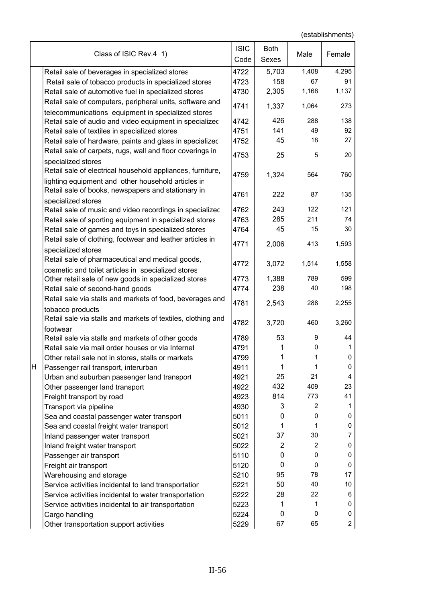|   | Class of ISIC Rev.4 1)                                       | <b>ISIC</b><br>Code | <b>Both</b><br>Sexes | Male           | Female         |
|---|--------------------------------------------------------------|---------------------|----------------------|----------------|----------------|
|   | Retail sale of beverages in specialized stores               | 4722                | 5,703                | 1,408          | 4,295          |
|   | Retail sale of tobacco products in specialized stores        | 4723                | 158                  | 67             | 91             |
|   | Retail sale of automotive fuel in specialized stores         | 4730                | 2,305                | 1,168          | 1,137          |
|   | Retail sale of computers, peripheral units, software and     |                     |                      |                |                |
|   | telecommunications equipment in specialized stores           | 4741                | 1,337                | 1,064          | 273            |
|   | Retail sale of audio and video equipment in specializec      | 4742                | 426                  | 288            | 138            |
|   | Retail sale of textiles in specialized stores                | 4751                | 141                  | 49             | 92             |
|   | Retail sale of hardware, paints and glass in specialized     | 4752                | 45                   | 18             | 27             |
|   | Retail sale of carpets, rugs, wall and floor coverings in    |                     |                      |                |                |
|   | specialized stores                                           | 4753                | 25                   | 5              | 20             |
|   | Retail sale of electrical household appliances, furniture,   |                     |                      |                |                |
|   | lighting equipment and other household articles ir           | 4759                | 1,324                | 564            | 760            |
|   | Retail sale of books, newspapers and stationary in           |                     |                      |                |                |
|   | specialized stores                                           | 4761                | 222                  | 87             | 135            |
|   | Retail sale of music and video recordings in specializec     | 4762                | 243                  | 122            | 121            |
|   | Retail sale of sporting equipment in specialized stores      | 4763                | 285                  | 211            | 74             |
|   | Retail sale of games and toys in specialized stores          | 4764                | 45                   | 15             | 30             |
|   | Retail sale of clothing, footwear and leather articles in    | 4771                | 2,006                | 413            | 1,593          |
|   | specialized stores                                           |                     |                      |                |                |
|   | Retail sale of pharmaceutical and medical goods,             | 4772                | 3,072                | 1,514          | 1,558          |
|   | cosmetic and toilet articles in specialized stores           |                     |                      |                |                |
|   | Other retail sale of new goods in specialized stores         | 4773                | 1,388                | 789            | 599            |
|   | Retail sale of second-hand goods                             | 4774                | 238                  | 40             | 198            |
|   | Retail sale via stalls and markets of food, beverages and    | 4781                | 2,543                | 288            | 2,255          |
|   | tobacco products                                             |                     |                      |                |                |
|   | Retail sale via stalls and markets of textiles, clothing and | 4782                | 3,720                | 460            | 3,260          |
|   | footwear                                                     |                     |                      |                |                |
|   | Retail sale via stalls and markets of other goods            | 4789                | 53                   | 9              | 44             |
|   | Retail sale via mail order houses or via Internet            | 4791                |                      | 0              | 1              |
|   | Other retail sale not in stores, stalls or markets           | 4799                | 1                    | 1              | 0              |
| H | Passenger rail transport, interurban                         | 4911                | 1                    | 1              | 0              |
|   | Urban and suburban passenger land transport                  | 4921                | 25                   | 21             | 4              |
|   | Other passenger land transport                               | 4922                | 432                  | 409            | 23             |
|   | Freight transport by road                                    | 4923                | 814                  | 773            | 41             |
|   | Transport via pipeline                                       | 4930                | 3                    | 2              | 1              |
|   | Sea and coastal passenger water transport                    | 5011                | 0                    | 0              | 0              |
|   | Sea and coastal freight water transport                      | 5012                | 1                    | 1              | 0              |
|   | Inland passenger water transport                             | 5021                | 37                   | 30             | 7              |
|   | Inland freight water transport                               | 5022                | $\overline{2}$       | $\overline{c}$ | 0              |
|   | Passenger air transport                                      | 5110                | 0                    | 0              | 0              |
|   | Freight air transport                                        | 5120                | 0                    | 0              | 0              |
|   | Warehousing and storage                                      | 5210                | 95                   | 78             | 17             |
|   | Service activities incidental to land transportation         | 5221                | 50                   | 40             | 10             |
|   | Service activities incidental to water transportation        | 5222                | 28                   | 22             | 6              |
|   | Service activities incidental to air transportation          | 5223                | 1                    | 1<br>0         | 0<br>0         |
|   | Cargo handling                                               | 5224                | 0                    |                |                |
|   | Other transportation support activities                      | 5229                | 67                   | 65             | $\overline{c}$ |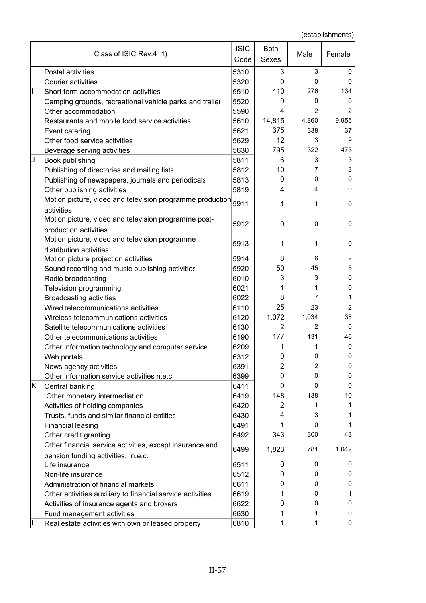|    | Class of ISIC Rev.4 1)                                                            | <b>ISIC</b><br>Code | <b>Both</b><br><b>Sexes</b> | Male           | Female         |
|----|-----------------------------------------------------------------------------------|---------------------|-----------------------------|----------------|----------------|
|    | Postal activities                                                                 | 5310                | 3                           | 3              | 0              |
|    | <b>Courier activities</b>                                                         | 5320                | 0                           | 0              | 0              |
| I  | Short term accommodation activities                                               | 5510                | 410                         | 276            | 134            |
|    | Camping grounds, recreational vehicle parks and trailer                           | 5520                | $\mathbf{0}$                | 0              | 0              |
|    | Other accommodation                                                               | 5590                | 4                           | $\overline{2}$ | 2              |
|    | Restaurants and mobile food service activities                                    | 5610                | 14,815                      | 4,860          | 9,955          |
|    | Event catering                                                                    | 5621                | 375                         | 338            | 37             |
|    | Other food service activities                                                     | 5629                | 12                          | 3              | 9              |
|    | Beverage serving activities                                                       | 5630                | 795                         | 322            | 473            |
| J  | Book publishing                                                                   | 5811                | 6                           | 3              | 3              |
|    | Publishing of directories and mailing lists                                       | 5812                | 10                          | 7              | 3              |
|    | Publishing of newspapers, journals and periodicals                                | 5813                | 0                           | 0              | 0              |
|    | Other publishing activities                                                       | 5819                | 4                           | 4              | 0              |
|    | Motion picture, video and television programme production<br>activities           | 5911                | 1                           | 1              | $\mathbf 0$    |
|    | Motion picture, video and television programme post-                              | 5912                | $\mathbf{0}$                | 0              | 0              |
|    | production activities<br>Motion picture, video and television programme           | 5913                | 1                           | 1              | $\mathbf 0$    |
|    | distribution activities                                                           |                     |                             |                |                |
|    | Motion picture projection activities                                              | 5914                | 8                           | 6              | 2              |
|    | Sound recording and music publishing activities                                   | 5920                | 50                          | 45             | 5              |
|    | Radio broadcasting                                                                | 6010                | 3                           | 3              | 0              |
|    | Television programming                                                            | 6021                | 1                           | 1              | 0              |
|    | <b>Broadcasting activities</b>                                                    | 6022                | 8                           | 7              | 1              |
|    | Wired telecommunications activities                                               | 6110                | 25                          | 23             | $\overline{2}$ |
|    | Wireless telecommunications activities                                            | 6120                | 1,072                       | 1,034          | 38             |
|    | Satellite telecommunications activities                                           | 6130                | $\overline{2}$              | 2              | 0              |
|    | Other telecommunications activities                                               | 6190                | 177                         | 131            | 46             |
|    | Other information technology and computer service                                 | 6209                | 1                           | 1              | $\mathbf 0$    |
|    | Web portals                                                                       | 6312                | 0                           | 0              | 0              |
|    | News agency activities                                                            | 6391                | $\overline{2}$              | 2              | 0              |
|    | Other information service activities n.e.c.                                       | 6399                | 0                           | 0              | 0              |
| K. | Central banking                                                                   | 6411                | $\mathbf{0}$                | 0<br>138       | 0<br>10        |
|    | Other monetary intermediation                                                     | 6419                | 148<br>$\overline{2}$       | 1              | 1              |
|    | Activities of holding companies                                                   | 6420                | 4                           | 3              | 1              |
|    | Trusts, funds and similar financial entities                                      | 6430                | 1                           | 0              | 1              |
|    | <b>Financial leasing</b>                                                          | 6491<br>6492        | 343                         | 300            | 43             |
|    | Other credit granting<br>Other financial service activities, except insurance and |                     |                             | 781            | 1,042          |
|    | pension funding activities, n.e.c.                                                | 6499                | 1,823                       |                |                |
|    | Life insurance                                                                    | 6511                | 0                           | 0              | 0              |
|    | Non-life insurance                                                                | 6512                | 0                           | 0              | 0              |
|    | Administration of financial markets                                               | 6611                | 0                           | 0              | 0              |
|    | Other activities auxiliary to financial service activities                        | 6619                | 1                           | 0              | 1              |
|    | Activities of insurance agents and brokers                                        | 6622                | 0                           | 0              | 0              |
|    | Fund management activities                                                        | 6630                |                             | 1              | 0              |
|    | Real estate activities with own or leased property                                | 6810                | 1                           | 1              | 0              |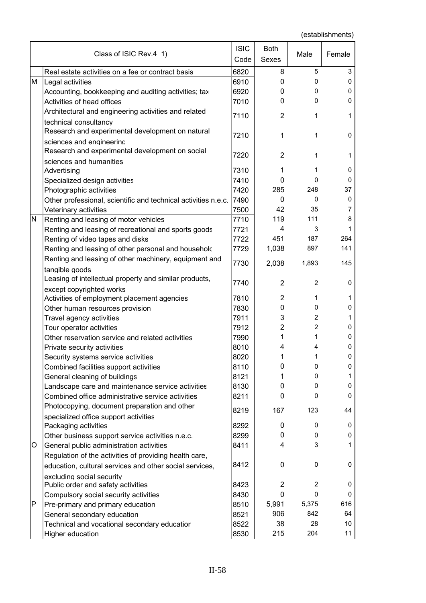|   | Class of ISIC Rev.4 1)                                         | <b>ISIC</b><br>Code | <b>Both</b><br><b>Sexes</b> | Male           | Female       |
|---|----------------------------------------------------------------|---------------------|-----------------------------|----------------|--------------|
|   | Real estate activities on a fee or contract basis              | 6820                | 8                           | 5              | 3            |
| M | Legal activities                                               | 6910                | 0                           | 0              | 0            |
|   | Accounting, bookkeeping and auditing activities; tax           | 6920                | 0                           | 0              | 0            |
|   | Activities of head offices                                     | 7010                | $\mathbf{0}$                | 0              | 0            |
|   | Architectural and engineering activities and related           |                     |                             |                |              |
|   | technical consultancy                                          | 7110                | $\overline{2}$              | 1              | $\mathbf{1}$ |
|   | Research and experimental development on natural               |                     |                             |                |              |
|   | sciences and engineering                                       | 7210                | 1                           | 1              | 0            |
|   | Research and experimental development on social                |                     |                             |                |              |
|   | sciences and humanities                                        | 7220                | $\overline{2}$              | 1              | 1            |
|   | Advertising                                                    | 7310                | 1                           | 1              | 0            |
|   | Specialized design activities                                  | 7410                | $\mathbf{0}$                | 0              | 0            |
|   | Photographic activities                                        | 7420                | 285                         | 248            | 37           |
|   | Other professional, scientific and technical activities n.e.c. | 7490                | 0                           | 0              | 0            |
|   | Veterinary activities                                          | 7500                | 42                          | 35             | 7            |
| N | Renting and leasing of motor vehicles                          | 7710                | 119                         | 111            | 8            |
|   | Renting and leasing of recreational and sports goods           | 7721                | 4                           | 3              | 1            |
|   | Renting of video tapes and disks                               | 7722                | 451                         | 187            | 264          |
|   | Renting and leasing of other personal and householc            | 7729                | 1,038                       | 897            | 141          |
|   | Renting and leasing of other machinery, equipment and          |                     |                             |                |              |
|   | tangible goods                                                 | 7730                | 2,038                       | 1,893          | 145          |
|   | Leasing of intellectual property and similar products,         |                     |                             |                |              |
|   | except copyrighted works                                       | 7740                | $\overline{2}$              | $\overline{2}$ | 0            |
|   | Activities of employment placement agencies                    | 7810                | $\overline{2}$              | 1              | 1            |
|   | Other human resources provision                                | 7830                | 0                           | 0              | 0            |
|   | Travel agency activities                                       | 7911                | 3                           | $\overline{2}$ | 1            |
|   | Tour operator activities                                       | 7912                | $\overline{c}$              | $\overline{2}$ | 0            |
|   | Other reservation service and related activities               | 7990                | 1                           | 1              | 0            |
|   | Private security activities                                    | 8010                | 4                           | 4              | 0            |
|   | Security systems service activities                            | 8020                | 1                           | 1              | 0            |
|   | Combined facilities support activities                         | 8110                | 0                           | 0              | 0            |
|   | General cleaning of buildings                                  | 8121                | 1                           | 0              | 1            |
|   | Landscape care and maintenance service activities              | 8130                | 0                           | $\mathbf 0$    | 0            |
|   | Combined office administrative service activities              | 8211                | 0                           | 0              | 0            |
|   | Photocopying, document preparation and other                   |                     |                             |                |              |
|   | specialized office support activities                          | 8219                | 167                         | 123            | 44           |
|   | Packaging activities                                           | 8292                | 0                           | 0              | 0            |
|   | Other business support service activities n.e.c.               | 8299                | 0                           | 0              | 0            |
| O | General public administration activities                       | 8411                | 4                           | 3              | 1            |
|   | Regulation of the activities of providing health care,         |                     |                             |                |              |
|   | education, cultural services and other social services,        | 8412                | 0                           | 0              | 0            |
|   | excluding social security                                      |                     |                             |                |              |
|   | Public order and safety activities                             | 8423                | $\overline{c}$              | 2              | 0            |
|   | Compulsory social security activities                          | 8430                | $\mathbf 0$                 | 0              | 0            |
| P | Pre-primary and primary education                              | 8510                | 5,991                       | 5,375          | 616          |
|   | General secondary education                                    | 8521                | 906                         | 842            | 64           |
|   | Technical and vocational secondary education                   | 8522                | 38                          | 28             | 10           |
|   | Higher education                                               | 8530                | 215                         | 204            | 11           |